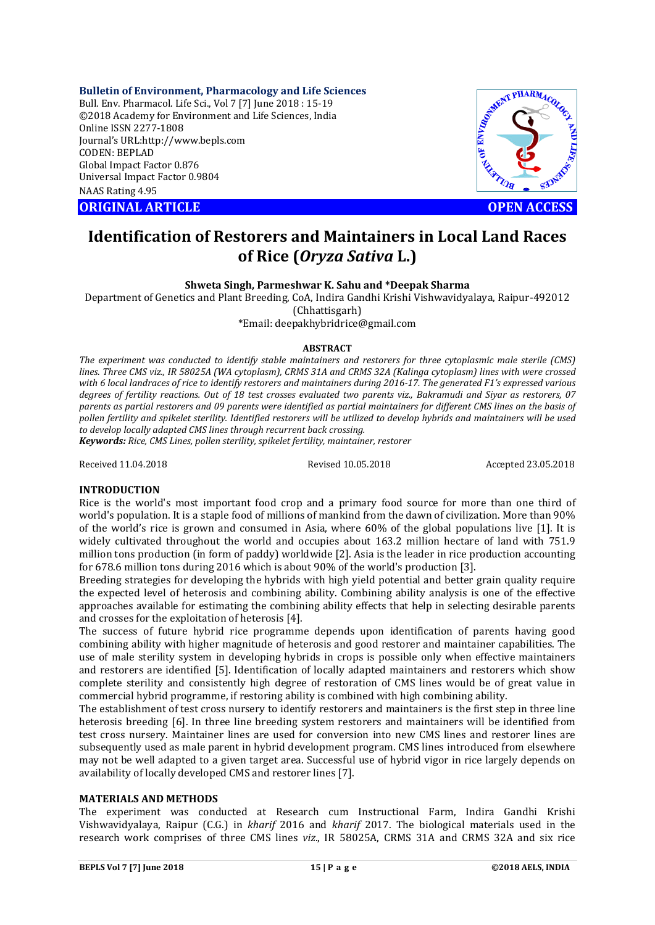## **Bulletin of Environment, Pharmacology and Life Sciences**

Bull. Env. Pharmacol. Life Sci., Vol 7 [7] June 2018 : 15-19 ©2018 Academy for Environment and Life Sciences, India Online ISSN 2277-1808 Journal's URL:http://www.bepls.com CODEN: BEPLAD Global Impact Factor 0.876 Universal Impact Factor 0.9804 NAAS Rating 4.95

**ORIGINAL ARTICLE OPEN ACCESS** 



# **Identification of Restorers and Maintainers in Local Land Races of Rice (***Oryza Sativa* **L.)**

**Shweta Singh, Parmeshwar K. Sahu and \*Deepak Sharma**

Department of Genetics and Plant Breeding, CoA, Indira Gandhi Krishi Vishwavidyalaya, Raipur-492012 (Chhattisgarh)

\*Email: deepakhybridrice@gmail.com

### **ABSTRACT**

*The experiment was conducted to identify stable maintainers and restorers for three cytoplasmic male sterile (CMS) lines. Three CMS viz., IR 58025A (WA cytoplasm), CRMS 31A and CRMS 32A (Kalinga cytoplasm) lines with were crossed with 6 local landraces of rice to identify restorers and maintainers during 2016-17. The generated F1's expressed various degrees of fertility reactions. Out of 18 test crosses evaluated two parents viz., Bakramudi and Siyar as restorers, 07 parents as partial restorers and 09 parents were identified as partial maintainers for different CMS lines on the basis of pollen fertility and spikelet sterility. Identified restorers will be utilized to develop hybrids and maintainers will be used to develop locally adapted CMS lines through recurrent back crossing.*

*Keywords: Rice, CMS Lines, pollen sterility, spikelet fertility, maintainer, restorer*

Received 11.04.2018 Revised 10.05.2018 Accepted 23.05.2018

# **INTRODUCTION**

Rice is the world's most important food crop and a primary food source for more than one third of world's population. It is a staple food of millions of mankind from the dawn of civilization. More than 90% of the world's rice is grown and consumed in Asia, where 60% of the global populations live [1]. It is widely cultivated throughout the world and occupies about 163.2 million hectare of land with 751.9 million tons production (in form of paddy) worldwide [2]. Asia is the leader in rice production accounting for 678.6 million tons during 2016 which is about 90% of the world's production [3].

Breeding strategies for developing the hybrids with high yield potential and better grain quality require the expected level of heterosis and combining ability. Combining ability analysis is one of the effective approaches available for estimating the combining ability effects that help in selecting desirable parents and crosses for the exploitation of heterosis [4].

The success of future hybrid rice programme depends upon identification of parents having good combining ability with higher magnitude of heterosis and good restorer and maintainer capabilities. The use of male sterility system in developing hybrids in crops is possible only when effective maintainers and restorers are identified [5]. Identification of locally adapted maintainers and restorers which show complete sterility and consistently high degree of restoration of CMS lines would be of great value in commercial hybrid programme, if restoring ability is combined with high combining ability.

The establishment of test cross nursery to identify restorers and maintainers is the first step in three line heterosis breeding [6]. In three line breeding system restorers and maintainers will be identified from test cross nursery. Maintainer lines are used for conversion into new CMS lines and restorer lines are subsequently used as male parent in hybrid development program. CMS lines introduced from elsewhere may not be well adapted to a given target area. Successful use of hybrid vigor in rice largely depends on availability of locally developed CMS and restorer lines [7].

## **MATERIALS AND METHODS**

The experiment was conducted at Research cum Instructional Farm, Indira Gandhi Krishi Vishwavidyalaya, Raipur (C.G.) in *kharif* 2016 and *kharif* 2017. The biological materials used in the research work comprises of three CMS lines *viz*., IR 58025A, CRMS 31A and CRMS 32A and six rice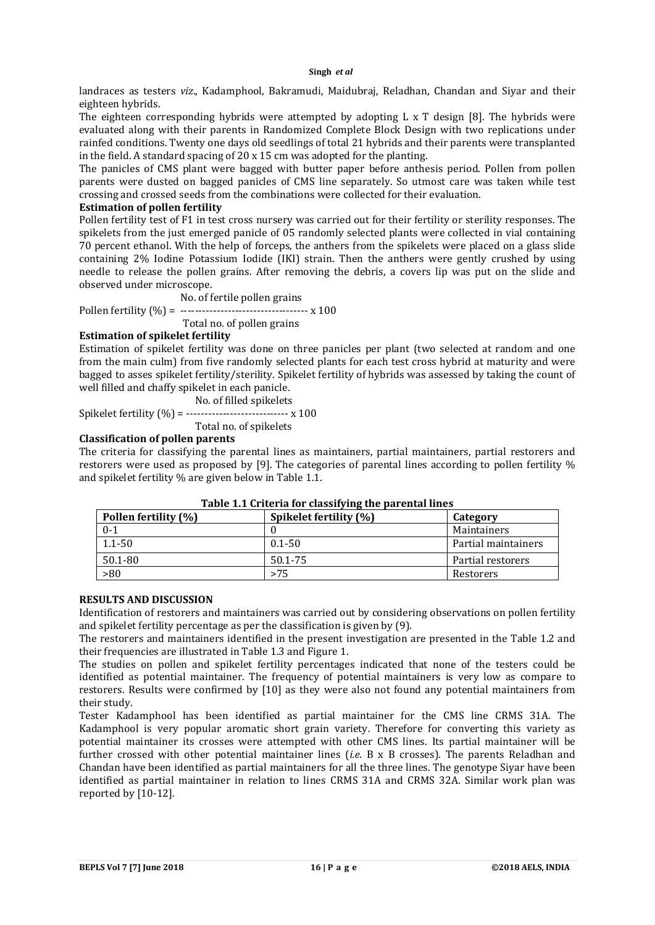landraces as testers *viz*., Kadamphool, Bakramudi, Maidubraj, Reladhan, Chandan and Siyar and their eighteen hybrids.

The eighteen corresponding hybrids were attempted by adopting L x T design [8]. The hybrids were evaluated along with their parents in Randomized Complete Block Design with two replications under rainfed conditions. Twenty one days old seedlings of total 21 hybrids and their parents were transplanted in the field. A standard spacing of 20 x 15 cm was adopted for the planting.

The panicles of CMS plant were bagged with butter paper before anthesis period. Pollen from pollen parents were dusted on bagged panicles of CMS line separately. So utmost care was taken while test crossing and crossed seeds from the combinations were collected for their evaluation.

# **Estimation of pollen fertility**

Pollen fertility test of F1 in test cross nursery was carried out for their fertility or sterility responses. The spikelets from the just emerged panicle of 05 randomly selected plants were collected in vial containing 70 percent ethanol. With the help of forceps, the anthers from the spikelets were placed on a glass slide containing 2% Iodine Potassium Iodide (IKI) strain. Then the anthers were gently crushed by using needle to release the pollen grains. After removing the debris, a covers lip was put on the slide and observed under microscope.

No. of fertile pollen grains

Pollen fertility (
$$
\%
$$
) = 1.100

Total no. of pollen grains

## **Estimation of spikelet fertility**

Estimation of spikelet fertility was done on three panicles per plant (two selected at random and one from the main culm) from five randomly selected plants for each test cross hybrid at maturity and were bagged to asses spikelet fertility/sterility. Spikelet fertility of hybrids was assessed by taking the count of well filled and chaffy spikelet in each panicle.

No. of filled spikelets

Spikelet fertility  $(\% ) =$  ---------------------------- x 100

Total no. of spikelets

# **Classification of pollen parents**

The criteria for classifying the parental lines as maintainers, partial maintainers, partial restorers and restorers were used as proposed by [9]. The categories of parental lines according to pollen fertility % and spikelet fertility % are given below in Table 1.1.

| Pollen fertility (%) | Spikelet fertility (%) | Category            |  |  |
|----------------------|------------------------|---------------------|--|--|
| $0 - 1$              |                        | Maintainers         |  |  |
| $1.1 - 50$           | $0.1 - 50$             | Partial maintainers |  |  |
| 50.1-80              | 50.1-75                | Partial restorers   |  |  |
| >80                  | >75                    | Restorers           |  |  |

**Table 1.1 Criteria for classifying the parental lines**

## **RESULTS AND DISCUSSION**

Identification of restorers and maintainers was carried out by considering observations on pollen fertility and spikelet fertility percentage as per the classification is given by (9).

The restorers and maintainers identified in the present investigation are presented in the Table 1.2 and their frequencies are illustrated in Table 1.3 and Figure 1.

The studies on pollen and spikelet fertility percentages indicated that none of the testers could be identified as potential maintainer. The frequency of potential maintainers is very low as compare to restorers. Results were confirmed by [10] as they were also not found any potential maintainers from their study.

Tester Kadamphool has been identified as partial maintainer for the CMS line CRMS 31A. The Kadamphool is very popular aromatic short grain variety. Therefore for converting this variety as potential maintainer its crosses were attempted with other CMS lines. Its partial maintainer will be further crossed with other potential maintainer lines (*i.e.* B x B crosses). The parents Reladhan and Chandan have been identified as partial maintainers for all the three lines. The genotype Siyar have been identified as partial maintainer in relation to lines CRMS 31A and CRMS 32A. Similar work plan was reported by [10-12].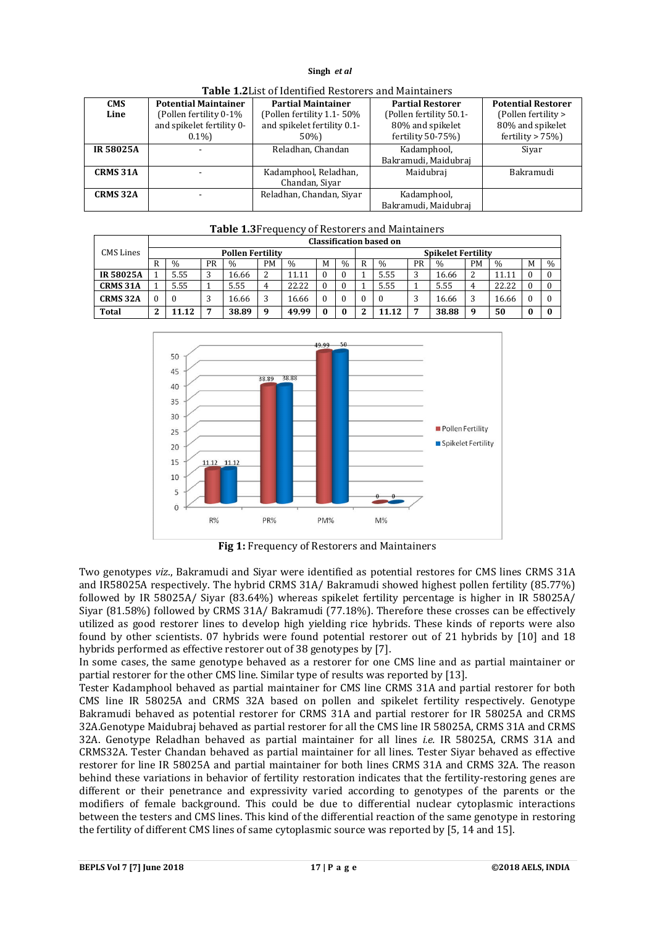| <b>Potential Maintainer</b><br><b>CMS</b> |                           | <b>Partial Maintainer</b>   | <b>Partial Restorer</b> | <b>Potential Restorer</b> |  |
|-------------------------------------------|---------------------------|-----------------------------|-------------------------|---------------------------|--|
| Line                                      | (Pollen fertility 0-1%)   | (Pollen fertility 1.1-50%)  | (Pollen fertility 50.1- | (Pollen fertility >       |  |
|                                           | and spikelet fertility 0- | and spikelet fertility 0.1- | 80% and spikelet        | 80% and spikelet          |  |
|                                           | $0.1\%$                   | 50%)                        | fertility $50-75%$      | fertility $> 75\%$ )      |  |
| <b>IR 58025A</b>                          |                           | Reladhan, Chandan           | Kadamphool,             | Siyar                     |  |
|                                           |                           |                             | Bakramudi, Maidubraj    |                           |  |
| <b>CRMS 31A</b>                           |                           | Kadamphool, Reladhan,       | Maidubraj               | Bakramudi                 |  |
|                                           |                           | Chandan, Siyar              |                         |                           |  |
| <b>CRMS 32A</b>                           |                           | Reladhan, Chandan, Siyar    | Kadamphool,             |                           |  |
|                                           |                           |                             | Bakramudi, Maidubraj    |                           |  |

**Table 1.2**List of Identified Restorers and Maintainers

# **Table 1.3**Frequency of Restorers and Maintainers

|                  | Classification based on |                         |    |               |    |               |   |               |                           |               |    |               |    |               |   |               |
|------------------|-------------------------|-------------------------|----|---------------|----|---------------|---|---------------|---------------------------|---------------|----|---------------|----|---------------|---|---------------|
| <b>CMS</b> Lines |                         | <b>Pollen Fertility</b> |    |               |    |               |   |               | <b>Spikelet Fertility</b> |               |    |               |    |               |   |               |
|                  | R                       | $\frac{0}{0}$           | PR | $\frac{0}{0}$ | PМ | $\frac{0}{0}$ | M | $\frac{0}{0}$ | R                         | $\frac{0}{0}$ | PR | $\frac{0}{0}$ | PM | $\frac{0}{0}$ | М | $\frac{0}{0}$ |
| <b>IR58025A</b>  |                         | 5.55                    | 3  | 16.66         |    | 11.11         |   |               |                           | 5.55          | 5. | 16.66         | 2  | 11.11         |   | $\Omega$      |
| <b>CRMS 31A</b>  |                         | 5.55                    |    | 5.55          |    | 22.22         |   | $\theta$      |                           | 5.55          |    | 5.55          | 4  | 22.22         |   | $\Omega$      |
| <b>CRMS 32A</b>  | $\theta$                | - 0                     | 3  | 16.66         |    | 16.66         |   |               |                           |               | ×. | 16.66         | 3  | 16.66         |   | $\Omega$      |
| Total            | - 2                     | 11.12                   | −  | 38.89         | 9  | 49.99         |   | $\bf{0}$      |                           | 11.12         | −  | 38.88         | 9  | 50            | 0 | $\mathbf{0}$  |



**Fig 1:** Frequency of Restorers and Maintainers

Two genotypes *viz*., Bakramudi and Siyar were identified as potential restores for CMS lines CRMS 31A and IR58025A respectively. The hybrid CRMS 31A/ Bakramudi showed highest pollen fertility (85.77%) followed by IR 58025A/ Siyar (83.64%) whereas spikelet fertility percentage is higher in IR 58025A/ Siyar (81.58%) followed by CRMS 31A/ Bakramudi (77.18%). Therefore these crosses can be effectively utilized as good restorer lines to develop high yielding rice hybrids. These kinds of reports were also found by other scientists. 07 hybrids were found potential restorer out of 21 hybrids by [10] and 18 hybrids performed as effective restorer out of 38 genotypes by [7].

In some cases, the same genotype behaved as a restorer for one CMS line and as partial maintainer or partial restorer for the other CMS line. Similar type of results was reported by [13].

Tester Kadamphool behaved as partial maintainer for CMS line CRMS 31A and partial restorer for both CMS line IR 58025A and CRMS 32A based on pollen and spikelet fertility respectively. Genotype Bakramudi behaved as potential restorer for CRMS 31A and partial restorer for IR 58025A and CRMS 32A.Genotype Maidubraj behaved as partial restorer for all the CMS line IR 58025A, CRMS 31A and CRMS 32A. Genotype Reladhan behaved as partial maintainer for all lines *i.e.* IR 58025A, CRMS 31A and CRMS32A. Tester Chandan behaved as partial maintainer for all lines. Tester Siyar behaved as effective restorer for line IR 58025A and partial maintainer for both lines CRMS 31A and CRMS 32A. The reason behind these variations in behavior of fertility restoration indicates that the fertility-restoring genes are different or their penetrance and expressivity varied according to genotypes of the parents or the modifiers of female background. This could be due to differential nuclear cytoplasmic interactions between the testers and CMS lines. This kind of the differential reaction of the same genotype in restoring the fertility of different CMS lines of same cytoplasmic source was reported by [5, 14 and 15].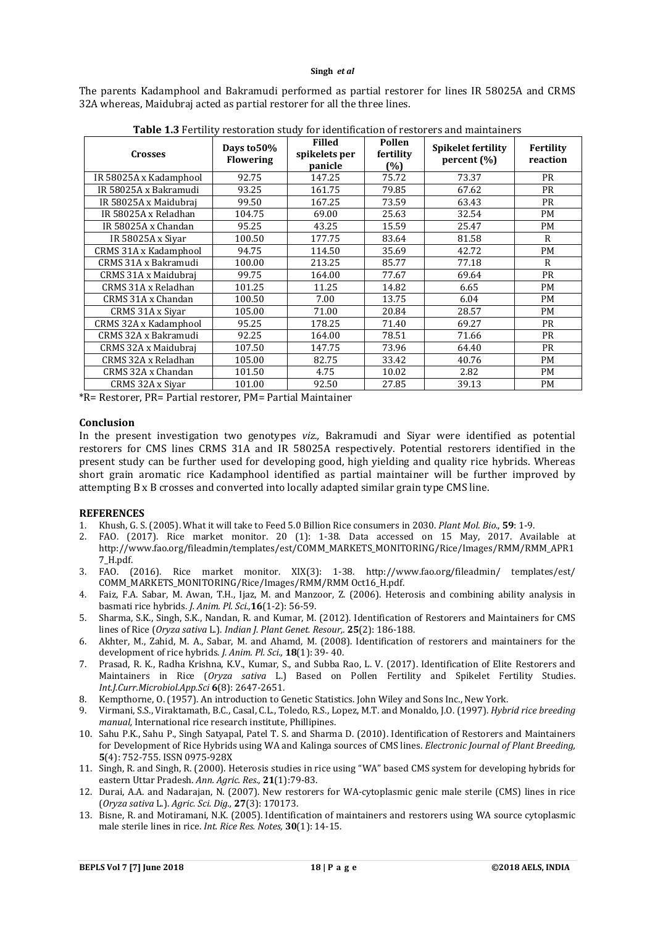The parents Kadamphool and Bakramudi performed as partial restorer for lines IR 58025A and CRMS 32A whereas, Maidubraj acted as partial restorer for all the three lines.

| <b>Crosses</b>         | Days to 50%<br><b>Flowering</b> | <b>Filled</b><br>spikelets per<br>panicle | Pollen<br>fertility<br>(%) | <b>Spikelet fertility</b><br>percent $(\% )$ | Fertility<br>reaction |  |
|------------------------|---------------------------------|-------------------------------------------|----------------------------|----------------------------------------------|-----------------------|--|
| IR 58025A x Kadamphool | 92.75                           | 147.25                                    | 75.72                      | 73.37                                        | <b>PR</b>             |  |
| IR 58025A x Bakramudi  | 93.25                           | 161.75                                    | 79.85                      | 67.62                                        | <b>PR</b>             |  |
| IR 58025A x Maidubraj  | 99.50                           | 167.25                                    | 73.59                      | 63.43                                        | <b>PR</b>             |  |
| IR 58025A x Reladhan   | 104.75                          | 69.00                                     | 25.63                      | 32.54                                        | <b>PM</b>             |  |
| IR 58025A x Chandan    | 95.25                           | 43.25                                     | 15.59                      | 25.47                                        | <b>PM</b>             |  |
| IR 58025A x Siyar      | 100.50                          | 177.75                                    | 83.64                      | 81.58                                        | R                     |  |
| CRMS 31A x Kadamphool  | 94.75                           | 114.50                                    | 35.69                      | 42.72                                        | <b>PM</b>             |  |
| CRMS 31A x Bakramudi   | 100.00                          | 213.25                                    | 85.77                      | 77.18                                        | R                     |  |
| CRMS 31A x Maidubraj   | 99.75                           | 164.00                                    | 77.67                      | 69.64                                        | <b>PR</b>             |  |
| CRMS 31A x Reladhan    | 101.25                          | 11.25                                     | 14.82                      | 6.65                                         | PM                    |  |
| CRMS 31A x Chandan     | 100.50                          | 7.00                                      | 13.75                      | 6.04                                         | <b>PM</b>             |  |
| CRMS 31A x Siyar       | 105.00                          | 71.00                                     | 20.84                      | 28.57                                        | <b>PM</b>             |  |
| CRMS 32A x Kadamphool  | 95.25                           | 178.25                                    | 71.40                      | 69.27                                        | <b>PR</b>             |  |
| CRMS 32A x Bakramudi   | 92.25                           | 164.00                                    | 78.51                      | 71.66                                        | <b>PR</b>             |  |
| CRMS 32A x Maidubraj   | 107.50                          | 147.75                                    | 73.96                      | 64.40                                        | <b>PR</b>             |  |
| CRMS 32A x Reladhan    | 105.00                          | 82.75                                     | 33.42                      | 40.76                                        | PM                    |  |
| CRMS 32A x Chandan     | 101.50                          | 4.75                                      | 10.02                      | 2.82                                         | <b>PM</b>             |  |
| CRMS 32A x Siyar       | 101.00                          | 92.50                                     | 27.85                      | 39.13                                        | <b>PM</b>             |  |

**Table 1.3** Fertility restoration study for identification of restorers and maintainers

\*R= Restorer, PR= Partial restorer, PM= Partial Maintainer

#### **Conclusion**

In the present investigation two genotypes *viz.,* Bakramudi and Siyar were identified as potential restorers for CMS lines CRMS 31A and IR 58025A respectively. Potential restorers identified in the present study can be further used for developing good, high yielding and quality rice hybrids. Whereas short grain aromatic rice Kadamphool identified as partial maintainer will be further improved by attempting B x B crosses and converted into locally adapted similar grain type CMS line.

## **REFERENCES**

- 1. Khush, G. S. (2005). What it will take to Feed 5.0 Billion Rice consumers in 2030. *Plant Mol. Bio*., **59**: 1-9.
- 2. FAO. (2017). Rice market monitor. 20 (1): 1-38. Data accessed on 15 May, 2017. Available at http://www.fao.org/fileadmin/templates/est/COMM\_MARKETS\_MONITORING/Rice/Images/RMM/RMM\_APR1 7\_H.pdf.
- 3. FAO. (2016). Rice market monitor. XIX(3): 1-38. http://www.fao.org/fileadmin/ templates/est/ COMM\_MARKETS\_MONITORING/Rice/Images/RMM/RMM Oct16\_H.pdf.
- 4. Faiz, F.A. Sabar, M. Awan, T.H., Ijaz, M. and Manzoor, Z. (2006). Heterosis and combining ability analysis in basmati rice hybrids. *J. Anim. Pl. Sci.*,**16**(1-2): 56-59.
- 5. Sharma, S.K., Singh, S.K., Nandan, R. and Kumar, M. (2012). Identification of Restorers and Maintainers for CMS lines of Rice (*Oryza sativa* L*.*). *Indian J. Plant Genet. Resour,.* **25**(2): 186-188.
- 6. Akhter, M., Zahid, M. A., Sabar, M. and Ahamd, M. (2008). Identification of restorers and maintainers for the development of rice hybrids. *J. Anim. Pl. Sci.,* **18**(1): 39- 40.
- 7. Prasad, R. K., Radha Krishna, K.V., Kumar, S., and Subba Rao, L. V. (2017). Identification of Elite Restorers and Maintainers in Rice (*Oryza sativa* L.) Based on Pollen Fertility and Spikelet Fertility Studies. *Int.J.Curr.Microbiol.App.Sci* **6**(8): 2647-2651.
- 8. Kempthorne, O. (1957). An introduction to Genetic Statistics. John Wiley and Sons Inc., New York.
- 9. Virmani, S.S., Viraktamath, B.C., Casal, C.L., Toledo, R.S., Lopez, M.T. and Monaldo, J.O. (1997). *Hybrid rice breeding manual,* International rice research institute, Phillipines.
- 10. Sahu P.K., Sahu P., Singh Satyapal, Patel T. S. and Sharma D. (2010). Identification of Restorers and Maintainers for Development of Rice Hybrids using WA and Kalinga sources of CMS lines. *Electronic Journal of Plant Breeding,*  **5**(4): 752-755. ISSN 0975-928X
- 11. Singh, R. and Singh, R. (2000). Heterosis studies in rice using "WA" based CMS system for developing hybrids for eastern Uttar Pradesh. *Ann. Agric. Res.,* **21**(1):79-83.
- 12. Durai, A.A. and Nadarajan, N. (2007). New restorers for WA-cytoplasmic genic male sterile (CMS) lines in rice (*Oryza sativa* L.). *Agric. Sci. Dig.,* **27**(3): 170173.
- 13. Bisne, R. and Motiramani, N.K. (2005). Identification of maintainers and restorers using WA source cytoplasmic male sterile lines in rice. *Int. Rice Res. Notes,* **30**(1): 14-15.